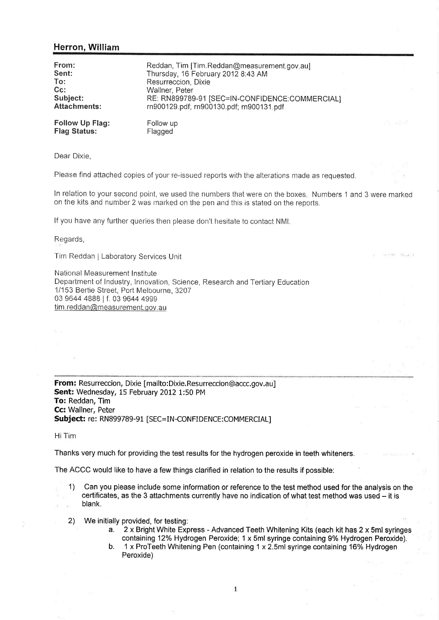#### Herron, William

| From:               | Reddan, Tim [Tim.Reddan@measurement.gov.au]    |
|---------------------|------------------------------------------------|
| Sent:               | Thursday, 16 February 2012 8:43 AM             |
| To:                 | Resurreccion, Dixie                            |
| $Cc$ :              | Wallner, Peter                                 |
| Subject:            | RE: RN899789-91 [SEC=IN-CONFIDENCE:COMMERCIAL] |
| <b>Attachments:</b> | rn900129.pdf; rn900130.pdf; rn900131.pdf       |
| Follow Up Flag:     | Follow up                                      |
| <b>Flag Status:</b> | Flagged                                        |

Dear Dixie,

Please find attached copies of your re-issued reports with the alterations made as requested.

In relation to your second point, we used the numbers that were on the boxes. Numbers 1 and 3 were marked on the kits and number 2 was marked on the pen and this is stated on the reports.

lf you have any further queries then please don't hesitate to contact NMl.

Regards,

Tím Reddan | Laboratory Services Unit

National Measurement Institute Department of Industry, Innovation, Science, Research and Tertiary Education 1/153 Bertie Street, Port Melbourne, 3207 03 9644 4888 | f. 03 9644 4999 tim.reddan@measurement.gov.au

From: Resurreccion, Dixie [mailto:Dixie.Resurreccion@accc.gov.au] Sent: Wednesday, 15 February 2012 1:50 PM To: Reddan, Tim Cc: Wallner, Peter Subject: re: RN899789-91 [SEC=IN-CONFIDENCE:COMMERCIAL]

HiTim

Thanks very much for providing the test results for the hydrogen peroxide in teeth whiteners.

The ACCC would like to have a few things clarified in relation to the results if possible:

1) Can you please include some information or reference to the test method used for the analysis on the certificates, as the 3 attachments currently have no indication of what test method was used - it is , blank.

2) We initially provided, for testing:

- a. 2 x Bright White Express Advanced Teeth Whitening Kits (each kit has 2 x Sml syringes
- b. 1 x ProTeeth Whitening Pen (containing 1 x 2.5ml syringe containing 16% Hydrogen Peroxide)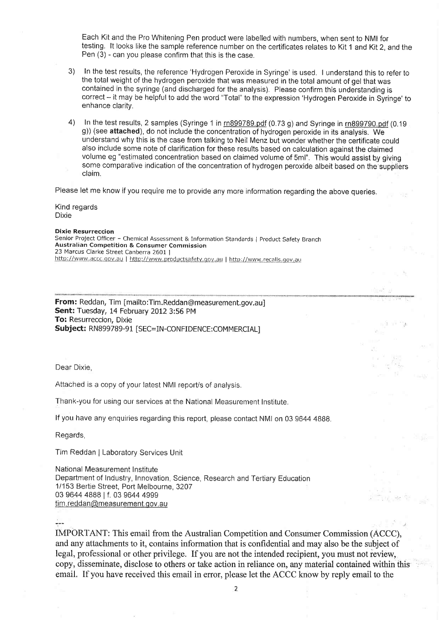Each Kit and the Pro Whitening Pen product were labelled with numbers, when sent to NMI for testing. lt looks like the sample reference number on the certificates relates to Kit 1 and Kit 2, and the Pen (3) - can you please confirm that this is the case.

- 3) In the test results, the reference 'Hydrogen Peroxide in Syringe' is used. I understand this to refer to the total weight of the hydrogen peroxide that was measured in the total amount of gel that was contained in the syringe (and discharged for the analysis). Please confirm this understanding is correct - it may be helpful to add the word "Total" to the expression 'Hydrogen Peroxide in Syringe' to enhance clarity.
- 4) In the test results, 2 samples (Syringe 1 in rn899789.pdf (0.73 g) and Syringe in rn899790.pdf (0.19 g)) (see attached), do not include the concentration of hydrogen peroxide in its analysis. We understand why this is the case from talking to Neil Menz but wonder whether the certificate could also include some note of clarification for these results based on calculation against the claimed volume eg "estimated concentration based on claimed volume of 5m1". This would assist by giving some comparative indication of the concentration of hydrogen peroxide albeit based on the suppliers claim.

Please let me know if you require me to provide any more information regarding the above queries.

Kind regards Dixie

#### Dixie Resurreccion

Senior Project Officer - Chemical Assessment & Information Standards | Product Safety Branch **Australian Competition & Consumer Commission** 23 Marcus Clarke Street Canberra 2601 <sup>|</sup> http://www.accc.gov.au | http://www.productsafety.gov.au | http://www.recalls.gov.au

From: Reddan, Tim [mailto:Tim.Reddan@measurement.gov.au] Sent: Tuesday, 14 February 2012 3:56 PM To: Resurreccion, Dixie Subject: RN899789-91 [SEC=IN-CONFIDENCE:COMMERCIAL]

Dear Dixie,

Attached is a copy of your latest NMI report/s of analysis.

Thank-you for using our services at the National Measurement Institute.

lf you have any enquiries regarding this report, please contact NMI on 03 9644 4BBB.

Regards,

Tim Reddan | Laboratory Services Unit

National Measurement Institute Department of Industry, Innovation, Science, Research and Tertiary Education l/153 Bertie Street, Port Melbourne,32OT 03 9644 4888 | f. 03 9644 4999 tim.reddan@measurement.gov.au

IMPORTANT: This email from the Australian Competition and Consumer Commission (ACCC), and any attachments to it, contains information that is confidential and may also be the subject of legal, professional or other privilege. If you are not the intended recipient, you must not review, copy, disseminate, disclose to others or take action in reliance on, any material contained within this email. If you have received this email in error, please let the ACCC know by reply email to the

 $\overline{2}$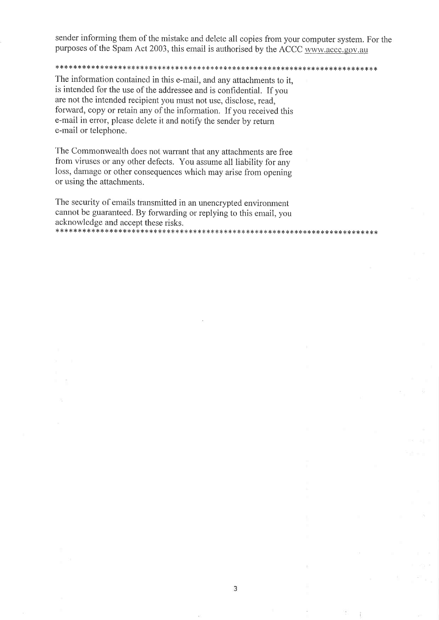sender informing them of the mistake and delete all copies from your computer system. For the purposes of the Spam Act 2003, this email is authorised by the ACCC www.accc.gov.au

The information contained in this e-mail, and any attachments to it, is intended for the use of the addressee and is confidential. If you are not the intended recipient you must not use, disclose, read, forward, copy or retain any of the information. If you received this e-mail in error, please delete it and notify the sender by return e-mail or telephone.

The Commonwealth does not warrant that any attachments are free from viruses or any other defects. You assume all liability for any loss, damage or other consequences which may arise from opening or using the attachments.

The security of emails transmitted in an unencrypted environment cannot be guaranteed. By forwarding or replying to this email, you acknowledge and accept these risks.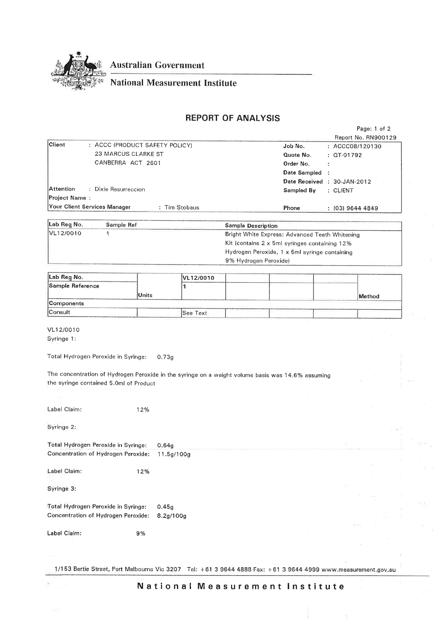

**Australian Government** 

# **National Measurement Institute**

# **REPORT OF ANALYSIS**

|                      |                                                      |              | Page: 1 of 2                |
|----------------------|------------------------------------------------------|--------------|-----------------------------|
|                      |                                                      |              | Report No. RN900129         |
| Client               | : ACCC (PRODUCT SAFETY POLICY)                       | Job No.      | : ACCC08/120130             |
|                      | 23 MARCUS CLARKE ST                                  | Quote No.    | $: QT-01792$                |
|                      | CANBERRA ACT 2601                                    | Order No.    |                             |
|                      |                                                      | Date Sampled |                             |
|                      |                                                      |              | Date Received : 30-JAN-2012 |
| <b>Attention</b>     | : Dixie Resurreccion                                 | Sampled By   | : CLIENT                    |
| <b>Project Name:</b> |                                                      |              |                             |
|                      | <b>Your Client Services Manager</b><br>: Tim Stobaus | Phone        | $(03)$ 9644 4849            |
|                      |                                                      |              |                             |

| Lab Reg No. | Sample Ref | <b>Sample Description</b>                      |
|-------------|------------|------------------------------------------------|
| VL12/0010   |            | Bright White Express: Advanced Teeth Whitening |
|             |            | Kit (contains 2 x 5ml syringes containing 12%  |
|             |            | Hydrogen Peroxide, 1 x 5ml syringe containing  |
|             |            | 9% Hydrogen Peroxide)                          |

| Lab Reg No.       |       | VL12/0010 |               |
|-------------------|-------|-----------|---------------|
| Sample Reference  |       |           |               |
|                   | Units |           | <b>Nethod</b> |
| <b>Components</b> |       |           |               |
| Consult           |       | See Text  |               |

VL12/0010 Syringe 1:

Y.

Total Hydrogen Peroxide in Syringe:  $0.73g$ 

The concentration of Hydrogen Peroxide in the syringe on a weight volume basis was 14.6% assuming the syringe contained 5.0ml of Product

| Label Claim:                                                               | 12% |                    |
|----------------------------------------------------------------------------|-----|--------------------|
| Syringe 2:                                                                 |     |                    |
| Total Hydrogen Peroxide in Syringe:                                        |     | 0.64 <sub>g</sub>  |
| Concentration of Hydrogen Peroxide:                                        |     | 11.5g/100g         |
| Label Claim:                                                               | 12% |                    |
| Syringe 3:                                                                 |     |                    |
| Total Hydrogen Peroxide in Syringe:<br>Concentration of Hydrogen Peroxide: |     | 0.45g<br>8.2g/100g |
| Label Claim:                                                               | 9%  |                    |
|                                                                            |     |                    |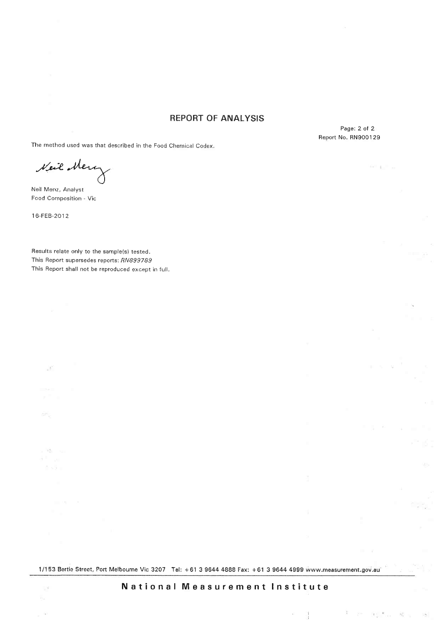# **REPORT OF ANALYSIS**

Page: 2 of 2 Report No. RN900129

衡

 $\chi$ 

 $\widetilde{\gamma}^{\ast}_{i}$ 

 $-5$ 

Î.

44 A. 30

The method used was that described in the Food Chemical Codex.

Neil Merry

Neil Menz, Analyst Food Composition - Vic

16-FEB-2012

υF

 $\mathcal{R}_{\text{eff}}^{\text{S}}$  .  $\mathcal{R}_{\text{eff}}$ 

 $\sim 10$ 

 $\mathcal{C}^{\mathcal{S}}$ 

 $\bar{\gamma}_R$ 

Results relate only to the sample(s) tested. This Report supersedes reports: RN899789 This Report shall not be reproduced except in full.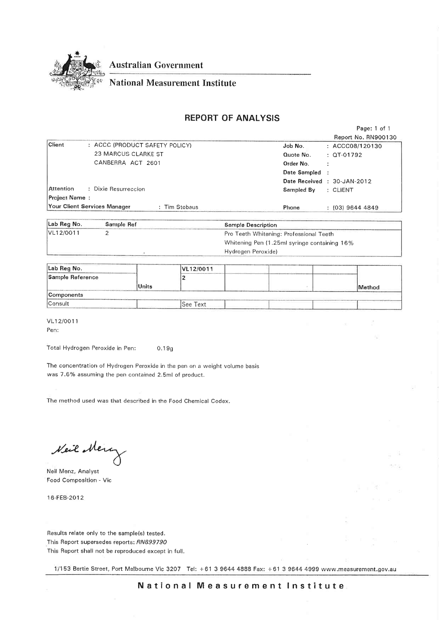

**Australian Government** 

# **National Measurement Institute**

## **REPORT OF ANALYSIS**

 $D_{2}$ ant 1 of 1

|                      |                                               |              | 1 ayu. 1 01 1               |
|----------------------|-----------------------------------------------|--------------|-----------------------------|
|                      |                                               |              | Report No. RN900130         |
| Client               | : ACCC (PRODUCT SAFETY POLICY)                | Job No.      | : ACCC08/120130             |
|                      | 23 MARCUS CLARKE ST                           | Quote No.    | $: QT-01792$                |
|                      | CANBERRA ACT 2601                             | Order No.    |                             |
|                      |                                               | Date Sampled |                             |
|                      |                                               |              | Date Received : 30-JAN-2012 |
| Attention            | : Dixie Resurreccion                          | Sampled By   | : CLIENT                    |
| <b>Project Name:</b> |                                               |              |                             |
|                      | Your Client Services Manager<br>: Tim Stobaus | Phone        | $(03)$ 9644 4849            |
|                      |                                               |              |                             |

| Lab Reg No. | Sample Ref | <b>Sample Description</b>                    |  |  |
|-------------|------------|----------------------------------------------|--|--|
| VL12/0011   |            | Pro Teeth Whitening: Professional Teeth      |  |  |
|             |            | Whitening Pen (1.25ml syringe containing 16% |  |  |
|             |            | Hydrogen Peroxide)                           |  |  |

| Lab Reg No.      |       | VL12/0011 |        |
|------------------|-------|-----------|--------|
| Sample Reference | Units |           | Method |
| Components       |       |           |        |
| Consult          |       | See Text  |        |

VL12/0011 Pen:

Total Hydrogen Peroxide in Pen:  $0.19g$ 

The concentration of Hydrogen Peroxide in the pen on a weight volume basis was 7.6% assuming the pen contained 2.5ml of product.

The method used was that described in the Food Chemical Codex.

Neil Merry

Neil Menz, Analyst Food Composition - Vic

16-FEB-2012

Results relate only to the sample(s) tested. This Report supersedes reports: RN899790 This Report shall not be reproduced except in full.

1/153 Bertie Street, Port Melbourne Vic 3207 Tel: +61 3 9644 4888 Fax: +61 3 9644 4999 www.measurement.gov.au

National Measurement Institute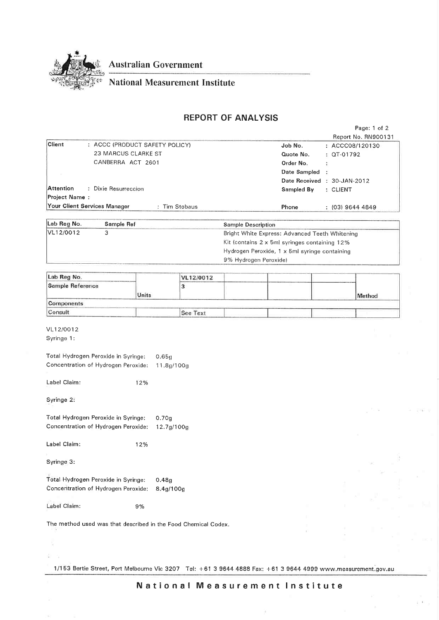

Australian Government

# National Measurement Institute

# REPORT OF ANALYSIS

|                                                                                            |                            |               |                           |                                                |                  | Page: 1 of 2        |
|--------------------------------------------------------------------------------------------|----------------------------|---------------|---------------------------|------------------------------------------------|------------------|---------------------|
| Client<br>: ACCC (PRODUCT SAFETY POLICY)                                                   |                            |               |                           |                                                |                  | Report No. RN900131 |
| <b>23 MARCUS CLARKE ST</b>                                                                 |                            |               |                           | Job No.                                        |                  | : ACCC08/120130     |
|                                                                                            |                            |               |                           | Quote No.                                      | $: QT-01792$     |                     |
| CANBERRA ACT 2601                                                                          |                            |               |                           | Order No.                                      |                  |                     |
|                                                                                            |                            |               |                           | Date Sampled                                   | ÷                |                     |
|                                                                                            |                            |               |                           | Date Received : 30-JAN-2012                    |                  |                     |
| <b>Attention</b><br>: Dixie Resurreccion                                                   |                            |               |                           | Sampled By                                     | : CLIENT         |                     |
| Project Name:                                                                              |                            |               |                           |                                                |                  |                     |
| Your Client Services Manager                                                               |                            | : Tim Stobaus |                           | Phone                                          | : (03) 9644 4849 |                     |
| Lab Reg No.<br>Sample Ref                                                                  |                            |               | <b>Sample Description</b> |                                                |                  |                     |
| VL12/0012<br>З                                                                             |                            |               |                           | Bright White Express: Advanced Teeth Whitening |                  |                     |
|                                                                                            |                            |               |                           | Kit (contains 2 x 5ml syringes containing 12%  |                  |                     |
|                                                                                            |                            |               |                           | Hydrogen Peroxide, 1 x 5ml syringe containing  |                  |                     |
|                                                                                            |                            |               | 9% Hydrogen Peroxide)     |                                                |                  |                     |
|                                                                                            |                            |               |                           |                                                |                  |                     |
| Lab Reg No.                                                                                |                            | VL12/0012     |                           |                                                |                  |                     |
| Sample Reference                                                                           |                            | 3             |                           |                                                |                  |                     |
|                                                                                            | Units                      |               |                           |                                                |                  | Method              |
| Components                                                                                 |                            |               |                           |                                                |                  |                     |
| Consult                                                                                    |                            | See Text      |                           |                                                |                  |                     |
| Total Hydrogen Peroxide in Syringe:<br>Concentration of Hydrogen Peroxide:<br>Label Claim: | 0.65g<br>11.8g/100g<br>12% |               |                           |                                                |                  |                     |
| Syringe 2:                                                                                 |                            |               |                           |                                                |                  | $e^{-\pi i/32}$     |
| Total Hydrogen Peroxide in Syringe:                                                        | 0.70g                      |               |                           |                                                |                  |                     |
| Concentration of Hydrogen Peroxide:                                                        | 12.7g/100g                 |               |                           |                                                |                  |                     |
|                                                                                            |                            |               |                           |                                                |                  |                     |
| Label Claim:                                                                               | 12%                        |               |                           |                                                |                  |                     |
|                                                                                            |                            |               |                           |                                                |                  |                     |
| Syringe 3:                                                                                 |                            |               |                           |                                                |                  |                     |
| Total Hydrogen Peroxide in Syringe:                                                        | 0.48 <sub>g</sub>          |               |                           |                                                |                  |                     |
| Concentration of Hydrogen Peroxide:                                                        | 8.4g/100g                  |               |                           |                                                |                  |                     |
|                                                                                            |                            |               |                           |                                                |                  |                     |
| Label Claim:                                                                               | 9%                         |               |                           |                                                |                  |                     |
|                                                                                            |                            |               |                           |                                                |                  |                     |
| The method used was that described in the Food Chemical Codex.                             |                            |               |                           |                                                |                  |                     |
|                                                                                            |                            |               |                           |                                                |                  |                     |
|                                                                                            |                            |               |                           |                                                |                  |                     |
|                                                                                            |                            |               |                           |                                                |                  |                     |
|                                                                                            |                            |               |                           |                                                |                  |                     |